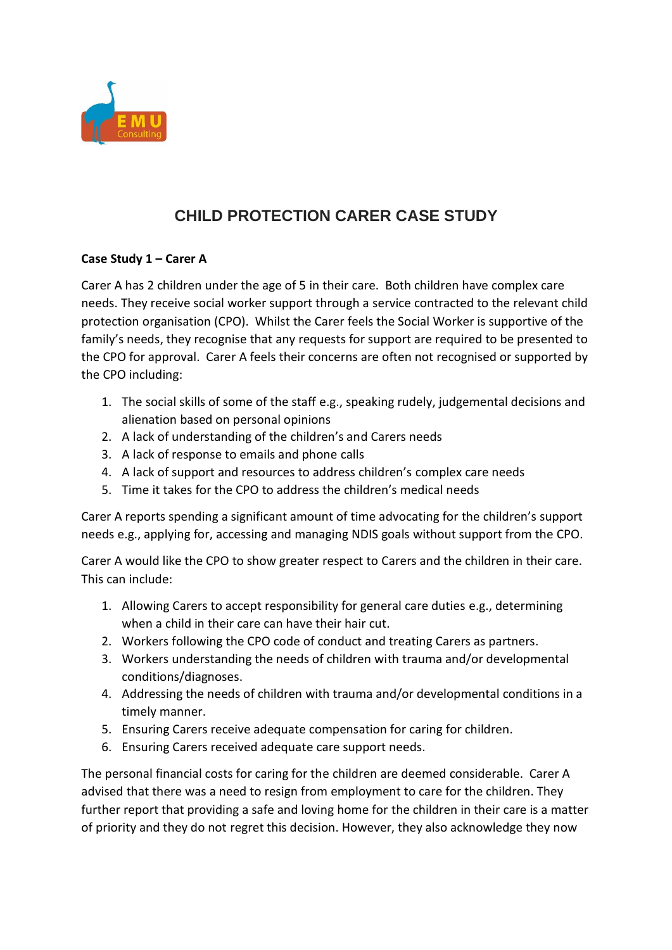

## **CHILD PROTECTION CARER CASE STUDY**

## **Case Study 1 – Carer A**

Carer A has 2 children under the age of 5 in their care. Both children have complex care needs. They receive social worker support through a service contracted to the relevant child protection organisation (CPO). Whilst the Carer feels the Social Worker is supportive of the family's needs, they recognise that any requests for support are required to be presented to the CPO for approval. Carer A feels their concerns are often not recognised or supported by the CPO including:

- 1. The social skills of some of the staff e.g., speaking rudely, judgemental decisions and alienation based on personal opinions
- 2. A lack of understanding of the children's and Carers needs
- 3. A lack of response to emails and phone calls
- 4. A lack of support and resources to address children's complex care needs
- 5. Time it takes for the CPO to address the children's medical needs

Carer A reports spending a significant amount of time advocating for the children's support needs e.g., applying for, accessing and managing NDIS goals without support from the CPO.

Carer A would like the CPO to show greater respect to Carers and the children in their care. This can include:

- 1. Allowing Carers to accept responsibility for general care duties e.g., determining when a child in their care can have their hair cut.
- 2. Workers following the CPO code of conduct and treating Carers as partners.
- 3. Workers understanding the needs of children with trauma and/or developmental conditions/diagnoses.
- 4. Addressing the needs of children with trauma and/or developmental conditions in a timely manner.
- 5. Ensuring Carers receive adequate compensation for caring for children.
- 6. Ensuring Carers received adequate care support needs.

The personal financial costs for caring for the children are deemed considerable. Carer A advised that there was a need to resign from employment to care for the children. They further report that providing a safe and loving home for the children in their care is a matter of priority and they do not regret this decision. However, they also acknowledge they now